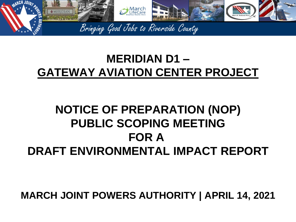

# **MERIDIAN D1 – GATEWAY AVIATION CENTER PROJECT**

# **NOTICE OF PREPARATION (NOP) PUBLIC SCOPING MEETING FOR A DRAFT ENVIRONMENTAL IMPACT REPORT**

**MARCH JOINT POWERS AUTHORITY | APRIL 14, 2021**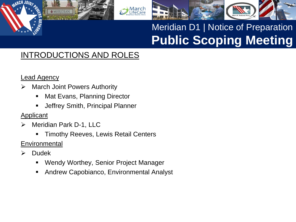

### INTRODUCTIONS AND ROLES

#### Lead Agency

- $\triangleright$  March Joint Powers Authority
	- Mat Evans, Planning Director
	- Jeffrey Smith, Principal Planner
- **Applicant**
- Meridian Park D-1, LLC

**ØMERIDIAN** 

- Timothy Reeves, Lewis Retail Centers
- **Environmental**
- $\triangleright$  Dudek
	- Wendy Worthey, Senior Project Manager
	- Andrew Capobianco, Environmental Analyst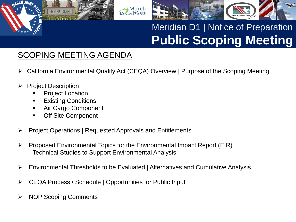

#### SCOPING MEETING AGENDA

California Environmental Quality Act (CEQA) Overview | Purpose of the Scoping Meeting

⁄larch

- Project Description
	- Project Location

**ØMERIDIAN** 

- Existing Conditions
- **Air Cargo Component**
- Off Site Component
- $\triangleright$  Project Operations | Requested Approvals and Entitlements
- $\triangleright$  Proposed Environmental Topics for the Environmental Impact Report (EIR) | Technical Studies to Support Environmental Analysis
- Environmental Thresholds to be Evaluated | Alternatives and Cumulative Analysis
- CEQA Process / Schedule | Opportunities for Public Input
- $\triangleright$  NOP Scoping Comments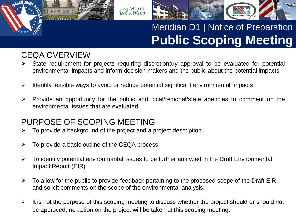

### CEQA OVERVIEW

**ØMERIDIAN** 

- State requirement for projects requiring discretionary approval to be evaluated for potential environmental impacts and inform decision makers and the public about the potential impacts
- $\triangleright$  Identify feasible ways to avoid or reduce potential significant environmental impacts

larch

 $\triangleright$  Provide an opportunity for the public and local/regional/state agencies to comment on the environmental issues that are evaluated

#### PURPOSE OF SCOPING MEETING

- To provide a background of the project and a project description
- $\triangleright$  To provide a basic outline of the CEQA process
- $\triangleright$  To identify potential environmental issues to be further analyzed in the Draft Environmental Impact Report (EIR)
- $\triangleright$  To allow for the public to provide feedback pertaining to the proposed scope of the Draft EIR and solicit comments on the scope of the environmental analysis.
- $\triangleright$  It is not the purpose of this scoping meeting to discuss whether the project should or should not be approved; no action on the project will be taken at this scoping meeting.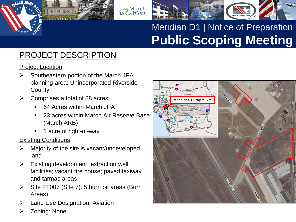### PROJECT DESCRIPTION

**MERIDIAN** 

Project Location

- $\triangleright$  Southeastern portion of the March JPA planning area; Unincorporated Riverside **County**
- Comprises a total of 88 acres
	- 64 Acres within March JPA
	- 23 acres within March Air Reserve Base (March ARB)

March<br>LifeCare

1 acre of right-of-way

#### Existing Conditions

- Majority of the site is vacant/undeveloped land
- $\triangleright$  Existing development: extraction well facilities; vacant fire house; paved taxiway and tarmac areas
- $\triangleright$  Site FT007 (Site 7): 5 burn pit areas (Burn Areas)
- **►** Land Use Designation: Aviation
- Zoning: None

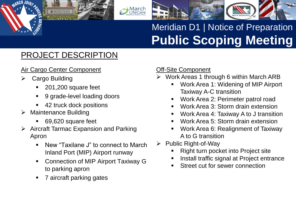### PROJECT DESCRIPTION

#### Air Cargo Center Component

**MERIDIAN** 

- **►** Cargo Building
	- 201,200 square feet
	- 9 grade-level loading doors
	- 42 truck dock positions
- $\triangleright$  Maintenance Building
	- 69,620 square feet
- $\triangleright$  Aircraft Tarmac Expansion and Parking Apron
	- New "Taxilane J" to connect to March Inland Port (MIP) Airport runway
	- Connection of MIP Airport Taxiway G to parking apron
	- 7 aircraft parking gates

#### Off-Site Component

- $\triangleright$  Work Areas 1 through 6 within March ARB
	- Work Area 1: Widening of MIP Airport Taxiway A-C transition
	- Work Area 2: Perimeter patrol road
	- Work Area 3: Storm drain extension
	- Work Area 4: Taxiway A to J transition
	- Work Area 5: Storm drain extension
	- Work Area 6: Realignment of Taxiway A to G transition
- $\triangleright$  Public Right-of-Way
	- Right turn pocket into Project site
	- Install traffic signal at Project entrance
	- Street cut for sewer connection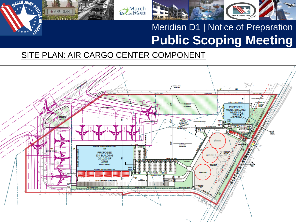

#### SITE PLAN: AIR CARGO CENTER COMPONENT

March<br>LifeCare

HJAA,

**JOINT** 

MERIDIAN

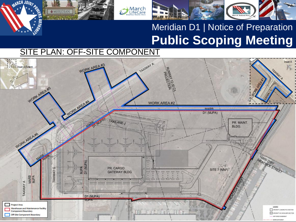#### SITE PLAN: OFF-SITE COMPONENT

MERIDIAN

**ARCH JOINS** 

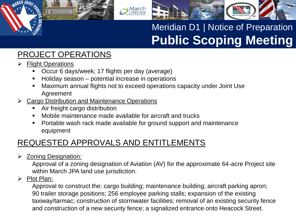

#### PROJECT OPERATIONS

**MERIDIAN** 

- > Flight Operations
	- **Decur 6 days/week; 17 flights per day (average)**
	- **Holiday season** potential increase in operations
	- Maximum annual flights not to exceed operations capacity under Joint Use Agreement

M**arch**<br>LifeCare

- Cargo Distribution and Maintenance Operations
	- Air freight cargo distribution
	- Mobile maintenance made available for aircraft and trucks
	- **Portable wash rack made available for ground support and maintenance** equipment

### REQUESTED APPROVALS AND ENTITLEMENTS

**► Zoning Designation:** 

Approval of a zoning designation of Aviation (AV) for the approximate 64-acre Project site within March JPA land use jurisdiction.

#### $\triangleright$  Plot Plan:

Approval to construct the: cargo building; maintenance building; aircraft parking apron; 90 trailer storage positions; 256 employee parking stalls; expansion of the existing taxiway/tarmac; construction of stormwater facilities; removal of an existing security fence and construction of a new security fence; a signalized entrance onto Heacock Street.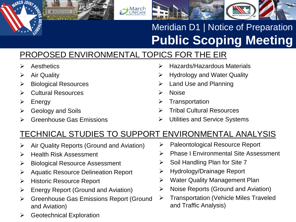### PROPOSED ENVIRONMENTAL TOPICS FOR THE EIR

**March**<br>LifeCare

- $\triangleright$  Aesthetics
- $\triangleright$  Air Quality
- $\triangleright$  Biological Resources

**MERIDIAN** 

- **▶ Cultural Resources**
- $\triangleright$  Energy
- $\triangleright$  Geology and Soils
- **► Greenhouse Gas Emissions**
- Hazards/Hazardous Materials
- $\triangleright$  Hydrology and Water Quality
- $\triangleright$  Land Use and Planning
- Noise
- $\triangleright$  Transportation
- Tribal Cultural Resources
- Utilities and Service Systems

### TECHNICAL STUDIES TO SUPPORT ENVIRONMENTAL ANALYSIS

- $\triangleright$  Air Quality Reports (Ground and Aviation)
- $\triangleright$  Health Risk Assessment
- > Biological Resource Assessment
- **▶ Aquatic Resource Delineation Report**
- **► Historic Resource Report**
- $\triangleright$  Energy Report (Ground and Aviation)
- **▶ Greenhouse Gas Emissions Report (Ground** and Aviation)
- $\triangleright$  Geotechnical Exploration
- **▶ Paleontological Resource Report**
- **▶ Phase I Environmental Site Assessment**
- $\triangleright$  Soil Handling Plan for Site 7
- Hydrology/Drainage Report
- **▶ Water Quality Management Plan**
- $\triangleright$  Noise Reports (Ground and Aviation)
- Transportation (Vehicle Miles Traveled and Traffic Analysis)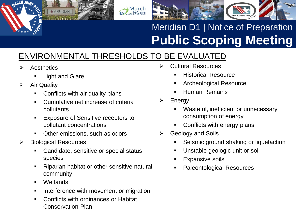

### ENVIRONMENTAL THRESHOLDS TO BE EVALUATED

**March**<br>LifeCare

- **Aesthetics** 
	- Light and Glare

**MERIDIAN** 

- $\triangleright$  Air Quality
	- Conflicts with air quality plans
	- Cumulative net increase of criteria pollutants
	- **Exposure of Sensitive receptors to** pollutant concentrations
	- Other emissions, such as odors
- $\triangleright$  Biological Resources
	- Candidate, sensitive or special status species
	- Riparian habitat or other sensitive natural community
	- **•** Wetlands
	- Interference with movement or migration
	- Conflicts with ordinances or Habitat Conservation Plan
- Cultural Resources
	- Historical Resource
	- Archeological Resource
	- Human Remains
- $\triangleright$  Energy
	- Wasteful, inefficient or unnecessary consumption of energy
	- Conflicts with energy plans
- $\triangleright$  Geology and Soils
	- **Seismic ground shaking or liquefaction**
	- **Unstable geologic unit or soil**
	- Expansive soils
	- Paleontological Resources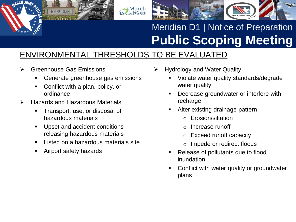

#### ENVIRONMENTAL THRESHOLDS TO BE EVALUATED

**March**<br>LifeCare

**►** Greenhouse Gas Emissions

**MERIDIAN** 

- Generate greenhouse gas emissions
- Conflict with a plan, policy, or ordinance
- $\triangleright$  Hazards and Hazardous Materials
	- Transport, use, or disposal of hazardous materials
	- **Upset and accident conditions** releasing hazardous materials
	- Listed on a hazardous materials site
	- **EXAGITED Airport safety hazards**
- Hydrology and Water Quality
	- Violate water quality standards/degrade water quality
	- Decrease groundwater or interfere with recharge
	- Alter existing drainage pattern
		- o Erosion/siltation
		- o Increase runoff
		- o Exceed runoff capacity
		- o Impede or redirect floods
	- Release of pollutants due to flood inundation
	- Conflict with water quality or groundwater plans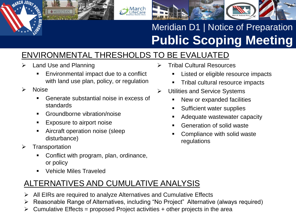

### ENVIRONMENTAL THRESHOLDS TO BE EVALUATED

Land Use and Planning

**MERIDIAN** 

- **Environmental impact due to a conflict** with land use plan, policy, or regulation
- $\triangleright$  Noise
	- Generate substantial noise in excess of standards
	- **Groundborne vibration/noise**
	- **Exposure to airport noise**
	- Aircraft operation noise (sleep disturbance)
- $\triangleright$  Transportation
	- Conflict with program, plan, ordinance, or policy
	- **Vehicle Miles Traveled**

### ALTERNATIVES AND CUMULATIVE ANALYSIS

- $\triangleright$  All EIRs are required to analyze Alternatives and Cumulative Effects
- Reasonable Range of Alternatives, including "No Project" Alternative (always required)
- $\triangleright$  Cumulative Effects = proposed Project activities + other projects in the area
- Tribal Cultural Resources
	- Listed or eligible resource impacts
	- Tribal cultural resource impacts
- **▶ Utilities and Service Systems** 
	- New or expanded facilities
	- Sufficient water supplies
	- Adequate wastewater capacity
	- Generation of solid waste
	- Compliance with solid waste regulations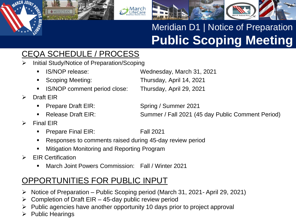### CEQA SCHEDULE / PROCESS

- Initial Study/Notice of Preparation/Scoping
	-

**MERIDIAN** 

- 
- IS/NOP comment period close: Thursday, April 29, 2021
- $\triangleright$  Draft EIR
	- **Prepare Draft EIR:** Spring / Summer 2021
	-
- $\triangleright$  Final EIR
	- Prepare Final EIR: Fall 2021
	- Responses to comments raised during 45-day review period
	- Mitigation Monitoring and Reporting Program
- $\triangleright$  EIR Certification
	- March Joint Powers Commission: Fall / Winter 2021

#### OPPORTUNITIES FOR PUBLIC INPUT

- Notice of Preparation Public Scoping period (March 31, 2021- April 29, 2021)
- $\triangleright$  Completion of Draft EIR 45-day public review period
- Public agencies have another opportunity 10 days prior to project approval
- Public Hearings

 IS/NOP release: Wednesday, March 31, 2021 Scoping Meeting: Thursday, April 14, 2021

■ Release Draft EIR: Summer / Fall 2021 (45 day Public Comment Period)



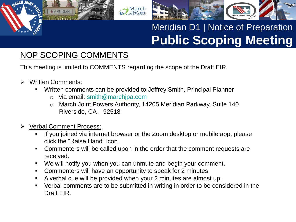

#### NOP SCOPING COMMENTS

This meeting is limited to COMMENTS regarding the scope of the Draft EIR.

Written Comments:

**ØMERIDIAN** 

Written comments can be provided to Jeffrey Smith, Principal Planner

- o via email: [smith@marchjpa.com](mailto:smith@marchjpa.com)
- o March Joint Powers Authority, 14205 Meridian Parkway, Suite 140 Riverside, CA , 92518
- Verbal Comment Process:
	- If you joined via internet browser or the Zoom desktop or mobile app, please click the "Raise Hand" icon.
	- Commenters will be called upon in the order that the comment requests are received.
	- We will notify you when you can unmute and begin your comment.
	- **Commenters will have an opportunity to speak for 2 minutes.**
	- A verbal cue will be provided when your 2 minutes are almost up.
	- Verbal comments are to be submitted in writing in order to be considered in the Draft EIR.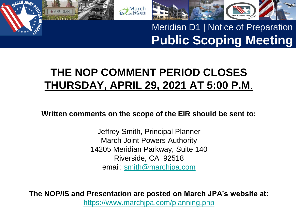

## **THE NOP COMMENT PERIOD CLOSES THURSDAY, APRIL 29, 2021 AT 5:00 P.M**.

M**arch**<br>LifeCare

**Written comments on the scope of the EIR should be sent to:**

Jeffrey Smith, Principal Planner March Joint Powers Authority 14205 Meridian Parkway, Suite 140 Riverside, CA 92518 email: [smith@marchjpa.com](mailto:smith@marchjpa.com)

**The NOP/IS and Presentation are posted on March JPA's website at:**

<https://www.marchjpa.com/planning.php>